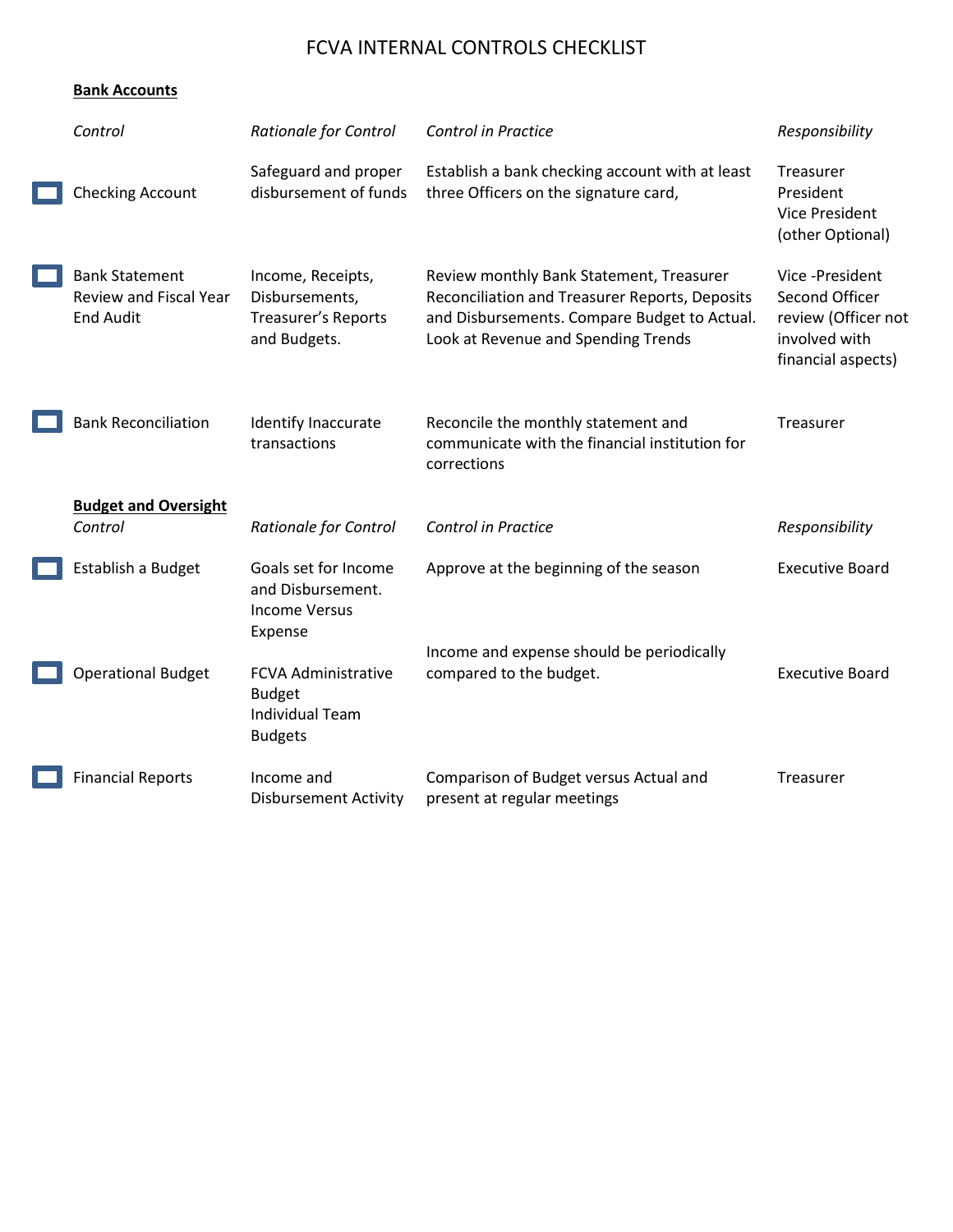## FCVA INTERNAL CONTROLS CHECKLIST

| Control                                                                    | <b>Rationale for Control</b>                                                            | <b>Control in Practice</b>                                                                                                                                                        | Responsibility                                                                                  |
|----------------------------------------------------------------------------|-----------------------------------------------------------------------------------------|-----------------------------------------------------------------------------------------------------------------------------------------------------------------------------------|-------------------------------------------------------------------------------------------------|
| <b>Checking Account</b>                                                    | Safeguard and proper<br>disbursement of funds                                           | Establish a bank checking account with at least<br>three Officers on the signature card,                                                                                          | Treasurer<br>President<br><b>Vice President</b><br>(other Optional)                             |
| <b>Bank Statement</b><br><b>Review and Fiscal Year</b><br><b>End Audit</b> | Income, Receipts,<br>Disbursements,<br>Treasurer's Reports<br>and Budgets.              | Review monthly Bank Statement, Treasurer<br>Reconciliation and Treasurer Reports, Deposits<br>and Disbursements. Compare Budget to Actual.<br>Look at Revenue and Spending Trends | Vice -President<br>Second Officer<br>review (Officer not<br>involved with<br>financial aspects) |
| <b>Bank Reconciliation</b>                                                 | Identify Inaccurate<br>transactions                                                     | Reconcile the monthly statement and<br>communicate with the financial institution for<br>corrections                                                                              | Treasurer                                                                                       |
| <b>Budget and Oversight</b><br>Control                                     | <b>Rationale for Control</b>                                                            | <b>Control in Practice</b>                                                                                                                                                        | Responsibility                                                                                  |
| Establish a Budget                                                         | Goals set for Income<br>and Disbursement.<br><b>Income Versus</b><br>Expense            | Approve at the beginning of the season                                                                                                                                            | <b>Executive Board</b>                                                                          |
| <b>Operational Budget</b>                                                  | <b>FCVA Administrative</b><br><b>Budget</b><br><b>Individual Team</b><br><b>Budgets</b> | Income and expense should be periodically<br>compared to the budget.                                                                                                              | <b>Executive Board</b>                                                                          |
| <b>Financial Reports</b>                                                   | Income and<br><b>Disbursement Activity</b>                                              | Comparison of Budget versus Actual and<br>present at regular meetings                                                                                                             | Treasurer                                                                                       |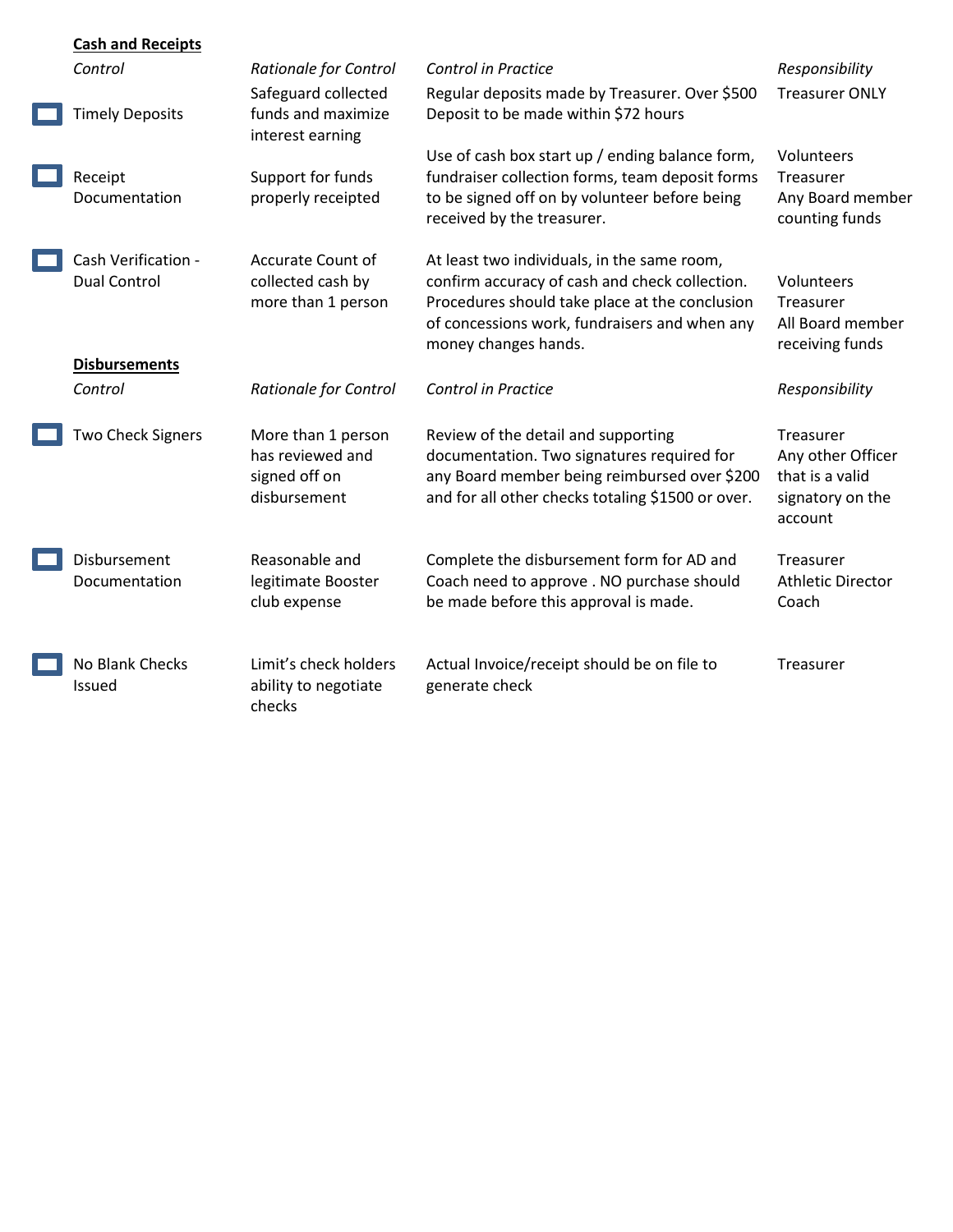| <b>Cash and Receipts</b>                   |                                                                         |                                                                                                                                                                                                                          |                                                                                  |
|--------------------------------------------|-------------------------------------------------------------------------|--------------------------------------------------------------------------------------------------------------------------------------------------------------------------------------------------------------------------|----------------------------------------------------------------------------------|
| Control                                    | <b>Rationale for Control</b>                                            | <b>Control in Practice</b>                                                                                                                                                                                               | Responsibility                                                                   |
| <b>Timely Deposits</b>                     | Safeguard collected<br>funds and maximize<br>interest earning           | Regular deposits made by Treasurer. Over \$500<br>Deposit to be made within \$72 hours                                                                                                                                   | <b>Treasurer ONLY</b>                                                            |
| Receipt<br>Documentation                   | Support for funds<br>properly receipted                                 | Use of cash box start up / ending balance form,<br>fundraiser collection forms, team deposit forms<br>to be signed off on by volunteer before being<br>received by the treasurer.                                        | Volunteers<br>Treasurer<br>Any Board member<br>counting funds                    |
| Cash Verification -<br><b>Dual Control</b> | <b>Accurate Count of</b><br>collected cash by<br>more than 1 person     | At least two individuals, in the same room,<br>confirm accuracy of cash and check collection.<br>Procedures should take place at the conclusion<br>of concessions work, fundraisers and when any<br>money changes hands. | Volunteers<br>Treasurer<br>All Board member<br>receiving funds                   |
| <b>Disbursements</b>                       |                                                                         |                                                                                                                                                                                                                          |                                                                                  |
| Control                                    | <b>Rationale for Control</b>                                            | <b>Control in Practice</b>                                                                                                                                                                                               | Responsibility                                                                   |
| Two Check Signers                          | More than 1 person<br>has reviewed and<br>signed off on<br>disbursement | Review of the detail and supporting<br>documentation. Two signatures required for<br>any Board member being reimbursed over \$200<br>and for all other checks totaling \$1500 or over.                                   | Treasurer<br>Any other Officer<br>that is a valid<br>signatory on the<br>account |
| Disbursement<br>Documentation              | Reasonable and<br>legitimate Booster<br>club expense                    | Complete the disbursement form for AD and<br>Coach need to approve . NO purchase should<br>be made before this approval is made.                                                                                         | Treasurer<br><b>Athletic Director</b><br>Coach                                   |
| No Blank Checks<br>Issued                  | Limit's check holders<br>ability to negotiate<br>checks                 | Actual Invoice/receipt should be on file to<br>generate check                                                                                                                                                            | Treasurer                                                                        |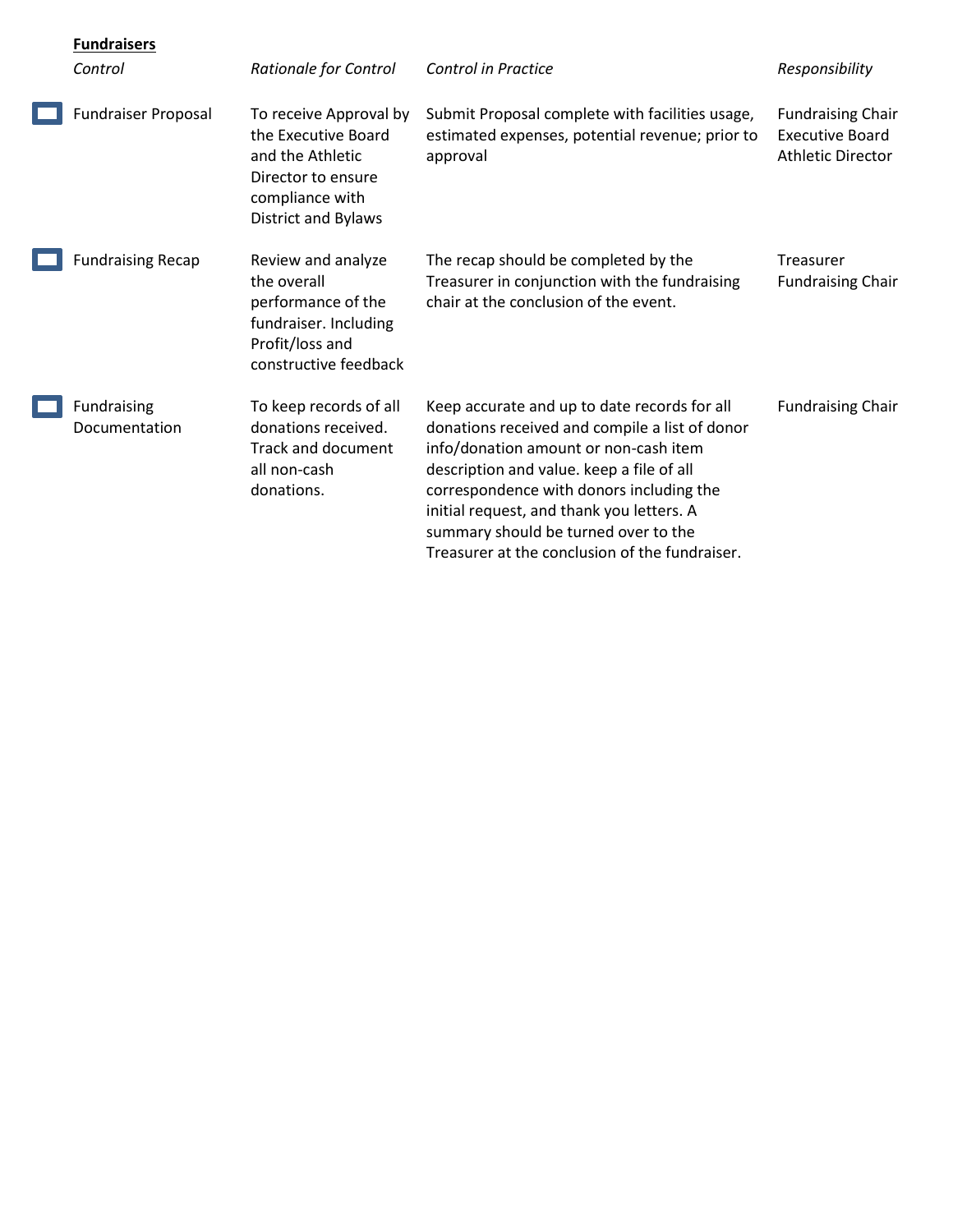| <b>Fundraisers</b>           |                                                                                                                                          |                                                                                                                                                                                                                                                                                                                                                                         |                                                                                |
|------------------------------|------------------------------------------------------------------------------------------------------------------------------------------|-------------------------------------------------------------------------------------------------------------------------------------------------------------------------------------------------------------------------------------------------------------------------------------------------------------------------------------------------------------------------|--------------------------------------------------------------------------------|
| Control                      | <b>Rationale for Control</b>                                                                                                             | Control in Practice                                                                                                                                                                                                                                                                                                                                                     | Responsibility                                                                 |
| <b>Fundraiser Proposal</b>   | To receive Approval by<br>the Executive Board<br>and the Athletic<br>Director to ensure<br>compliance with<br><b>District and Bylaws</b> | Submit Proposal complete with facilities usage,<br>estimated expenses, potential revenue; prior to<br>approval                                                                                                                                                                                                                                                          | <b>Fundraising Chair</b><br><b>Executive Board</b><br><b>Athletic Director</b> |
| <b>Fundraising Recap</b>     | Review and analyze<br>the overall<br>performance of the<br>fundraiser. Including<br>Profit/loss and<br>constructive feedback             | The recap should be completed by the<br>Treasurer in conjunction with the fundraising<br>chair at the conclusion of the event.                                                                                                                                                                                                                                          | <b>Treasurer</b><br><b>Fundraising Chair</b>                                   |
| Fundraising<br>Documentation | To keep records of all<br>donations received.<br><b>Track and document</b><br>all non-cash<br>donations.                                 | Keep accurate and up to date records for all<br>donations received and compile a list of donor<br>info/donation amount or non-cash item<br>description and value. keep a file of all<br>correspondence with donors including the<br>initial request, and thank you letters. A<br>summary should be turned over to the<br>Treasurer at the conclusion of the fundraiser. | <b>Fundraising Chair</b>                                                       |